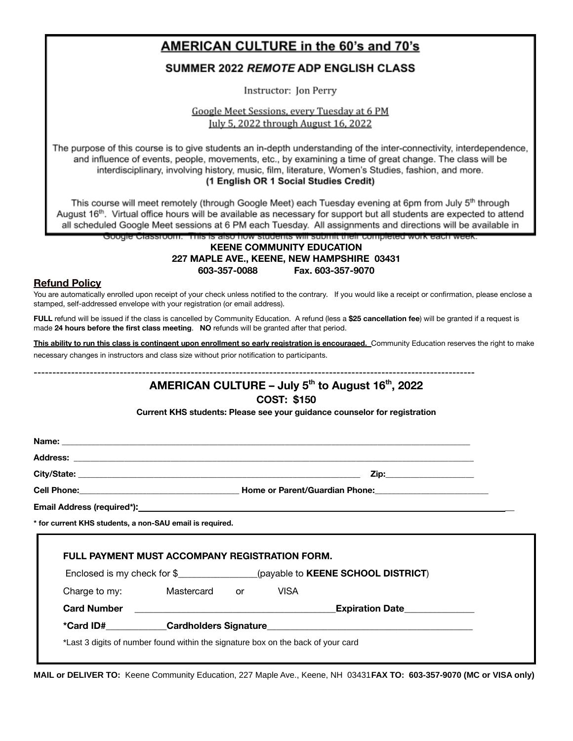## AMERICAN CULTURE in the 60's and 70's

### **SUMMER 2022 REMOTE ADP ENGLISH CLASS**

Instructor: Jon Perry

Google Meet Sessions, every Tuesday at 6 PM July 5, 2022 through August 16, 2022

The purpose of this course is to give students an in-depth understanding of the inter-connectivity, interdependence, and influence of events, people, movements, etc., by examining a time of great change. The class will be interdisciplinary, involving history, music, film, literature, Women's Studies, fashion, and more. (1 English OR 1 Social Studies Credit)

This course will meet remotely (through Google Meet) each Tuesday evening at 6pm from July 5<sup>th</sup> through August 16<sup>th</sup>. Virtual office hours will be available as necessary for support but all students are expected to attend all scheduled Google Meet sessions at 6 PM each Tuesday. All assignments and directions will be available in

### Google Classroom. This is also how students will submit their completed work each week. **KEENE COMMUNITY EDUCATION 227 MAPLE AVE., KEENE, NEW HAMPSHIRE 03431 603-357-0088 Fax. 603-357-9070**

### **Refund Policy**

You are automatically enrolled upon receipt of your check unless notified to the contrary. If you would like a receipt or confirmation, please enclose a stamped, self-addressed envelope with your registration (or email address).

**FULL** refund will be issued if the class is cancelled by Community Education. A refund (less a **\$25 cancellation fee**) will be granted if a request is made **24 hours before the first class meeting**. **NO** refunds will be granted after that period.

This ability to run this class is contingent upon enrollment so early registration is encouraged. Community Education reserves the right to make necessary changes in instructors and class size without prior notification to participants.

## ---------------------------------------------------------------------------------------------------------------------- **AMERICAN CULTURE – July 5th to August 16th , 2022**

### **COST: \$150**

**Current KHS students: Please see your guidance counselor for registration**

|                                                          |  |  |  | Zip: will be a series of the series of the series of the series of the series of the series of the series of the series of the series of the series of the series of the series of the series of the series of the series of t |  |
|----------------------------------------------------------|--|--|--|--------------------------------------------------------------------------------------------------------------------------------------------------------------------------------------------------------------------------------|--|
|                                                          |  |  |  |                                                                                                                                                                                                                                |  |
|                                                          |  |  |  |                                                                                                                                                                                                                                |  |
|                                                          |  |  |  |                                                                                                                                                                                                                                |  |
| * for current KHS students, a non-SAU email is required. |  |  |  |                                                                                                                                                                                                                                |  |
| <b>FULL PAYMENT MUST ACCOMPANY REGISTRATION FORM.</b>    |  |  |  | Enclosed is my check for \$_________________(payable to KEENE SCHOOL DISTRICT)                                                                                                                                                 |  |
| Charge to my: Mastercard or VISA                         |  |  |  |                                                                                                                                                                                                                                |  |
| Card Number <b>Card Number</b> 2014                      |  |  |  | <b>Expiration Date</b>                                                                                                                                                                                                         |  |

**MAIL or DELIVER TO:** Keene Community Education, 227 Maple Ave., Keene, NH 03431**FAX TO: 603-357-9070 (MC or VISA only)**